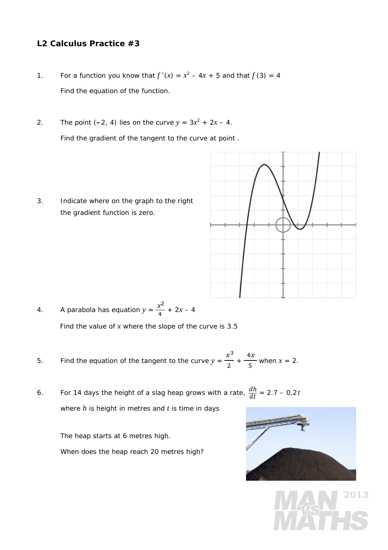## **L2 Calculus Practice #3**

- 1. For a function you know that  $f'(x) = x^2 4x + 5$  and that  $f(3) = 4$ Find the equation of the function.
- 2. The point  $(-2, 4)$  lies on the curve  $y = 3x^2 + 2x 4$ . Find the gradient of the tangent to the curve at point .
- 3. Indicate where on the graph to the right the gradient function is zero.



- 4. A parabola has equation  $y = \frac{x^2}{4}$  $\frac{x}{4}$  + 2*x* – 4 Find the value of *x* where the slope of the curve is 3.5
- 5. Find the equation of the tangent to the curve  $y =$  $x^3$  $\frac{1}{2}$  +  $4x$  $\frac{3x}{5}$  when  $x = 2$ .
- 6. For 14 days the height of a slag heap grows with a rate,  $\frac{dh}{dt}$  = 2.7 0.2*t* where *h* is height in metres and *t* is time in days

The heap starts at 6 metres high.

When does the heap reach 20 metres high?



2013